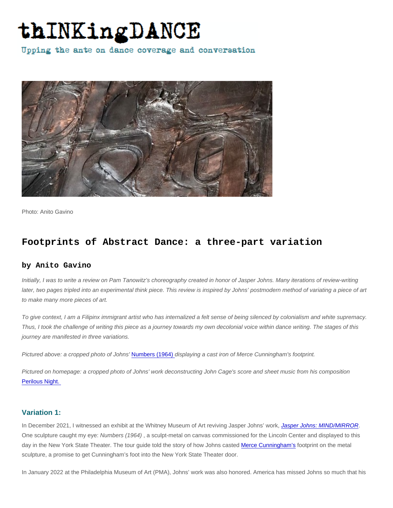Photo: Anito Gavino

# Footprints of Abstract Dance: a three-part variation

## by Anito Gavino

Initially, I was to write a review on Pam Tanowitz's choreography created in honor of Jasper Johns. Many iterations of review-writing later, two pages tripled into an experimental think piece. This review is inspired by Johns' postmodern method of variating a piece of art to make many more pieces of art.

To give context, I am a Filipinx immigrant artist who has internalized a felt sense of being silenced by colonialism and white supremacy. Thus, I took the challenge of writing this piece as a journey towards my own decolonial voice within dance writing. The stages of this journey are manifested in three variations.

Pictured above: a cropped photo of Johns' [Numbers \(1964\)](https://brooklynrail.org/2011/07/artseen/jasper-johns-new-sculpture-and-works-on-paper) displaying a cast iron of Merce Cunningham's footprint.

Pictured on homepage: a cropped photo of Johns' work deconstructing John Cage's score and sheet music from his composition [Perilous Night.](https://www.artic.edu/artworks/90300/perilous-night) 

# Variation 1:

In December 2021, I witnessed an exhibit at the Whitney Museum of Art reviving Jasper Johns' work, [Jasper Johns: MIND/MIRROR.](https://whitney.org/exhibitions/jasper-johns) One sculpture caught my eye: Numbers (1964) , a sculpt-metal on canvas commissioned for the Lincoln Center and displayed to this day in the New York State Theater. The tour guide told the story of how Johns casted [Merce Cunningham's](https://www.mercecunningham.org/) footprint on the metal sculpture, a promise to get Cunningham's foot into the New York State Theater door.

In January 2022 at the Philadelphia Museum of Art (PMA), Johns' work was also honored. America has missed Johns so much that his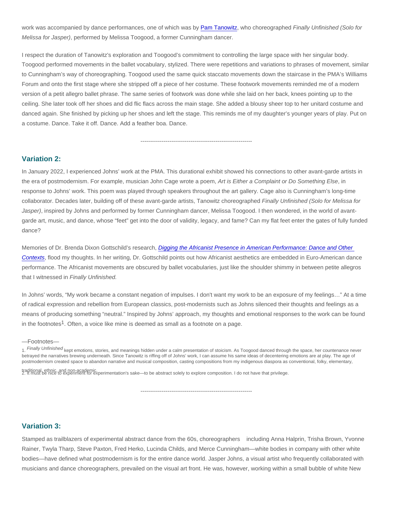work was accompanied by dance performances, one of which was by [Pam Tanowitz,](http://pamtanowitzdance.org/) who choreographed Finally Unfinished (Solo for Melissa for Jasper), performed by Melissa Toogood, a former Cunningham dancer.

I respect the duration of Tanowitz's exploration and Toogood's commitment to controlling the large space with her singular body. Toogood performed movements in the ballet vocabulary, stylized. There were repetitions and variations to phrases of movement, similar to Cunningham's way of choreographing. Toogood used the same quick staccato movements down the staircase in the PMA's Williams Forum and onto the first stage where she stripped off a piece of her costume. These footwork movements reminded me of a modern version of a petit allegro ballet phrase. The same series of footwork was done while she laid on her back, knees pointing up to the ceiling. She later took off her shoes and did flic flacs across the main stage. She added a blousy sheer top to her unitard costume and danced again. She finished by picking up her shoes and left the stage. This reminds me of my daughter's younger years of play. Put on a costume. Dance. Take it off. Dance. Add a feather boa. Dance.

----------------------------------------------------------

#### Variation 2:

In January 2022, I experienced Johns' work at the PMA. This durational exhibit showed his connections to other avant-garde artists in the era of postmodernism. For example, musician John Cage wrote a poem, Art is Either a Complaint or Do Something Else, in response to Johns' work. This poem was played through speakers throughout the art gallery. Cage also is Cunningham's long-time collaborator. Decades later, building off of these avant-garde artists, Tanowitz choreographed Finally Unfinished (Solo for Melissa for Jasper), inspired by Johns and performed by former Cunningham dancer, Melissa Toogood. I then wondered, in the world of avantgarde art, music, and dance, whose "feet" get into the door of validity, legacy, and fame? Can my flat feet enter the gates of fully funded dance?

Memories of Dr. Brenda Dixon Gottschild's research, [Digging the Africanist Presence in American Performance: Dance and Other](https://www.amazon.com/Digging-Africanist-Presence-American-Performance/dp/027596373X)  [Contexts,](https://www.amazon.com/Digging-Africanist-Presence-American-Performance/dp/027596373X) flood my thoughts. In her writing, Dr. Gottschild points out how Africanist aesthetics are embedded in Euro-American dance performance. The Africanist movements are obscured by ballet vocabularies, just like the shoulder shimmy in between petite allegros that I witnessed in Finally Unfinished.

In Johns' words, "My work became a constant negation of impulses. I don't want my work to be an exposure of my feelings…" At a time of radical expression and rebellion from European classics, post-modernists such as Johns silenced their thoughts and feelings as a means of producing something "neutral." Inspired by Johns' approach, my thoughts and emotional responses to the work can be found in the footnotes<sup>1</sup>. Often, a voice like mine is deemed as small as a footnote on a page.

—Footnotes—

1. Finally Unfinished kept emotions, stories, and meanings hidden under a calm presentation of stoicism. As Toogood danced through the space, her countenance never betrayed the narratives brewing underneath. Since Tanowitz is riffing off of Johns' work, I can assume his same ideas of decentering emotions are at play. The age of postmodernism created space to abandon narrative and musical composition, casting compositions from my indigenous diaspora as conventional, folky, elementary,

----------------------------------------------------------

traditional, ethnic, and pon-academic.<br>2. It must be nice to experiment for experimentation's sake—to be abstract solely to explore composition. I do not have that privilege.

### Variation 3:

Stamped as trailblazers of experimental abstract dance from the 60s, choreographers including Anna Halprin, Trisha Brown, Yvonne Rainer, Twyla Tharp, Steve Paxton, Fred Herko, Lucinda Childs, and Merce Cunningham—white bodies in company with other white bodies—have defined what postmodernism is for the entire dance world. Jasper Johns, a visual artist who frequently collaborated with musicians and dance choreographers, prevailed on the visual art front. He was, however, working within a small bubble of white New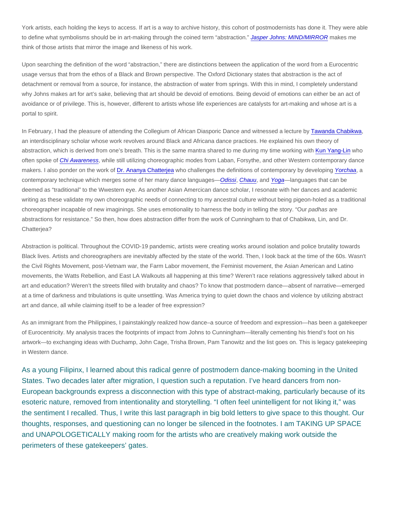York artists, each holding the keys to access. If art is a way to archive history, this cohort of postmodernists has done it. They were able to define what symbolisms should be in art-making through the coined term "abstraction." [Jasper Johns: MIND/MIRROR](https://whitney.org/exhibitions/jasper-johns) makes me think of those artists that mirror the image and likeness of his work.

Upon searching the definition of the word "abstraction," there are distinctions between the application of the word from a Eurocentric usage versus that from the ethos of a Black and Brown perspective. The Oxford Dictionary states that abstraction is the act of detachment or removal from a source, for instance, the abstraction of water from springs. With this in mind, I completely understand why Johns makes art for art's sake, believing that art should be devoid of emotions. Being devoid of emotions can either be an act of avoidance or of privilege. This is, however, different to artists whose life experiences are catalysts for art-making and whose art is a portal to spirit.

In February, I had the pleasure of attending the Collegium of African Diasporic Dance and witnessed a lecture by [Tawanda Chabikwa,](https://www.utep.edu/liberalarts/theatre-dance/people/faculty-bio/chabikwa.html) an interdisciplinary scholar whose work revolves around Black and Africana dance practices. He explained his own theory of abstraction, which is derived from one's breath. This is the same mantra shared to me during my time working with [Kun Yang-Lin](https://www.kyld.org/) who often spoke of [Chi Awareness,](https://www.kyld.org/faith-project-blog/2017/11/21/defining-chi-awareness-practice) while still utilizing choreographic modes from Laban, Forsythe, and other Western contemporary dance makers. I also ponder on the work of [Dr. Ananya Chatterjea](https://www.ananyadancetheatre.org/bios/ananya-chatterjea/) who challenges the definitions of contemporary by developing [Yorchaa](https://www.ananyadancetheatre.org/philosophy/yorchha/), a contemporary technique which merges some of her many dance languages[—Odissi](https://www.culturalindia.net/indian-dance/classical/odissi.html), [Chauu,](https://en.wikipedia.org/wiki/Chhau_dance) and [Yoga](https://en.wikipedia.org/wiki/Yoga)—languages that can be deemed as "traditional" to the Wwestern eye. As another Asian Amercican dance scholar, I resonate with her dances and academic writing as these validate my own choreographic needs of connecting to my ancestral culture without being pigeon-holed as a traditional choreographer incapable of new imaginings. She uses emotionality to harness the body in telling the story. "Our padhas are abstractions for resistance." So then, how does abstraction differ from the work of Cunningham to that of Chabikwa, Lin, and Dr. Chatterjea?

Abstraction is political. Throughout the COVID-19 pandemic, artists were creating works around isolation and police brutality towards Black lives. Artists and choreographers are inevitably affected by the state of the world. Then, I look back at the time of the 60s. Wasn't the Civil Rights Movement, post-Vietnam war, the Farm Labor movement, the Feminist movement, the Asian American and Latino movements, the Watts Rebellion, and East LA Walkouts all happening at this time? Weren't race relations aggressively talked about in art and education? Weren't the streets filled with brutality and chaos? To know that postmodern dance—absent of narrative—emerged at a time of darkness and tribulations is quite unsettling. Was America trying to quiet down the chaos and violence by utilizing abstract art and dance, all while claiming itself to be a leader of free expression?

As an immigrant from the Philippines, I painstakingly realized how dance–a source of freedom and expression—has been a gatekeeper of Eurocentricity. My analysis traces the footprints of impact from Johns to Cunningham—literally cementing his friend's foot on his artwork—to exchanging ideas with Duchamp, John Cage, Trisha Brown, Pam Tanowitz and the list goes on. This is legacy gatekeeping in Western dance.

As a young Filipinx, I learned about this radical genre of postmodern dance-making booming in the United States. Two decades later after migration, I question such a reputation. I've heard dancers from non-European backgrounds express a disconnection with this type of abstract-making, particularly because of its esoteric nature, removed from intentionality and storytelling. "I often feel unintelligent for not liking it," was the sentiment I recalled. Thus, I write this last paragraph in big bold letters to give space to this thought. Our thoughts, responses, and questioning can no longer be silenced in the footnotes. I am TAKING UP SPACE and UNAPOLOGETICALLY making room for the artists who are creatively making work outside the perimeters of these gatekeepers' gates.